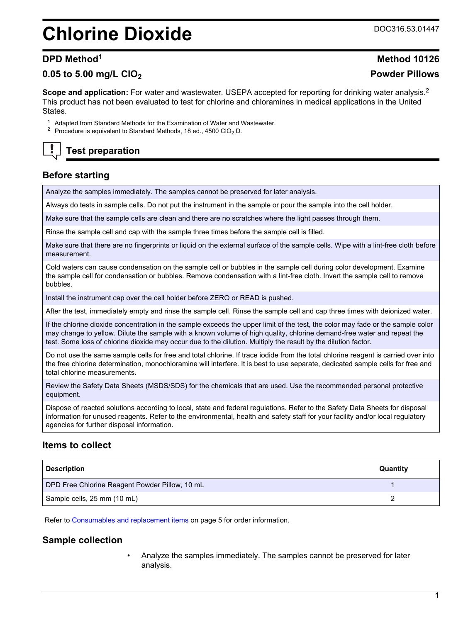# **Chlorine Dioxide** Decree Doca16.53.01447

# **0.05 to 5.00 mg/L ClO<sup>2</sup> Powder Pillows**

**Scope and application:** For water and wastewater. USEPA accepted for reporting for drinking water analysis.<sup>2</sup> This product has not been evaluated to test for chlorine and chloramines in medical applications in the United States.

- <sup>1</sup> Adapted from Standard Methods for the Examination of Water and Wastewater.
- <sup>2</sup> Procedure is equivalent to Standard Methods, 18 ed., 4500 ClO<sub>2</sub> D.

**Test preparation**

# **Before starting**

Analyze the samples immediately. The samples cannot be preserved for later analysis.

Always do tests in sample cells. Do not put the instrument in the sample or pour the sample into the cell holder.

Make sure that the sample cells are clean and there are no scratches where the light passes through them.

Rinse the sample cell and cap with the sample three times before the sample cell is filled.

Make sure that there are no fingerprints or liquid on the external surface of the sample cells. Wipe with a lint-free cloth before measurement.

Cold waters can cause condensation on the sample cell or bubbles in the sample cell during color development. Examine the sample cell for condensation or bubbles. Remove condensation with a lint-free cloth. Invert the sample cell to remove bubbles.

Install the instrument cap over the cell holder before ZERO or READ is pushed.

After the test, immediately empty and rinse the sample cell. Rinse the sample cell and cap three times with deionized water.

If the chlorine dioxide concentration in the sample exceeds the upper limit of the test, the color may fade or the sample color may change to yellow. Dilute the sample with a known volume of high quality, chlorine demand-free water and repeat the test. Some loss of chlorine dioxide may occur due to the dilution. Multiply the result by the dilution factor.

Do not use the same sample cells for free and total chlorine. If trace iodide from the total chlorine reagent is carried over into the free chlorine determination, monochloramine will interfere. It is best to use separate, dedicated sample cells for free and total chlorine measurements.

Review the Safety Data Sheets (MSDS/SDS) for the chemicals that are used. Use the recommended personal protective equipment.

Dispose of reacted solutions according to local, state and federal regulations. Refer to the Safety Data Sheets for disposal information for unused reagents. Refer to the environmental, health and safety staff for your facility and/or local regulatory agencies for further disposal information.

# **Items to collect**

| <b>Description</b>                             | Quantity |
|------------------------------------------------|----------|
| DPD Free Chlorine Reagent Powder Pillow, 10 mL |          |
| Sample cells, 25 mm (10 mL)                    |          |

Refer to [Consumables and replacement items](#page-4-0) on page 5 for order information.

# **Sample collection**

• Analyze the samples immediately. The samples cannot be preserved for later analysis.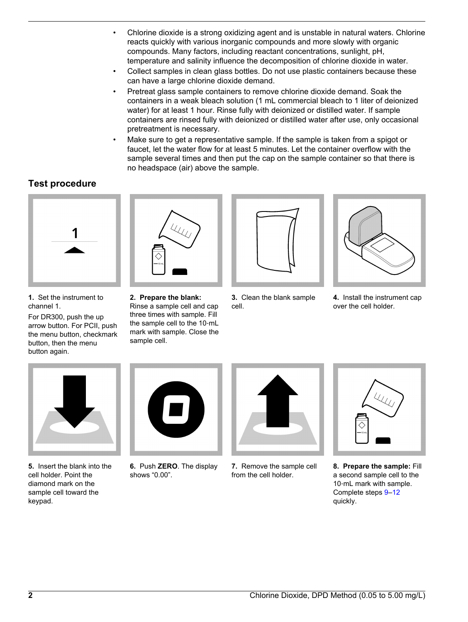- Chlorine dioxide is a strong oxidizing agent and is unstable in natural waters. Chlorine reacts quickly with various inorganic compounds and more slowly with organic compounds. Many factors, including reactant concentrations, sunlight, pH, temperature and salinity influence the decomposition of chlorine dioxide in water.
- Collect samples in clean glass bottles. Do not use plastic containers because these can have a large chlorine dioxide demand.
- Pretreat glass sample containers to remove chlorine dioxide demand. Soak the containers in a weak bleach solution (1 mL commercial bleach to 1 liter of deionized water) for at least 1 hour. Rinse fully with deionized or distilled water. If sample containers are rinsed fully with deionized or distilled water after use, only occasional pretreatment is necessary.
- Make sure to get a representative sample. If the sample is taken from a spigot or faucet, let the water flow for at least 5 minutes. Let the container overflow with the sample several times and then put the cap on the sample container so that there is no headspace (air) above the sample.

# **Test procedure**



**1.** Set the instrument to channel 1.

For DR300, push the up arrow button. For PCII, push the menu button, checkmark button, then the menu button again.



**2. Prepare the blank:** Rinse a sample cell and cap three times with sample. Fill the sample cell to the 10‑mL mark with sample. Close the sample cell.



**3.** Clean the blank sample cell.



**4.** Install the instrument cap over the cell holder.



**5.** Insert the blank into the cell holder. Point the diamond mark on the sample cell toward the keypad.



**6.** Push **ZERO**. The display shows "0.00".



**7.** Remove the sample cell from the cell holder.



**8. Prepare the sample:** Fill a second sample cell to the 10-mL mark with sample. Complete steps [9–12](#page-2-0) quickly.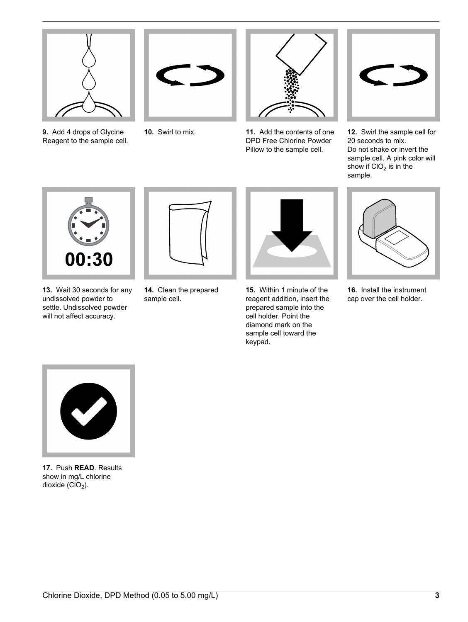<span id="page-2-0"></span>

**9.** Add 4 drops of Glycine Reagent to the sample cell.





**10.** Swirl to mix. **11.** Add the contents of one DPD Free Chlorine Powder Pillow to the sample cell.



**12.** Swirl the sample cell for 20 seconds to mix. Do not shake or invert the sample cell. A pink color will show if  $ClO<sub>2</sub>$  is in the sample.



**13.** Wait 30 seconds for any undissolved powder to settle. Undissolved powder will not affect accuracy.



**14.** Clean the prepared sample cell.



**15.** Within 1 minute of the reagent addition, insert the prepared sample into the cell holder. Point the diamond mark on the sample cell toward the keypad.



**16.** Install the instrument cap over the cell holder.



**17.** Push **READ**. Results show in mg/L chlorine dioxide  $(CIO<sub>2</sub>)$ .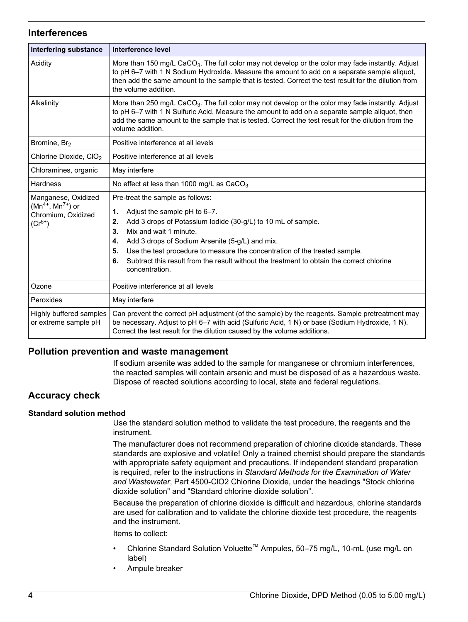## **Interferences**

| <b>Interfering substance</b>                                                        | Interference level                                                                                                                                                                                                                                                                                                                                                                                                                             |
|-------------------------------------------------------------------------------------|------------------------------------------------------------------------------------------------------------------------------------------------------------------------------------------------------------------------------------------------------------------------------------------------------------------------------------------------------------------------------------------------------------------------------------------------|
| Acidity                                                                             | More than 150 mg/L CaCO <sub>3</sub> . The full color may not develop or the color may fade instantly. Adjust<br>to pH 6-7 with 1 N Sodium Hydroxide. Measure the amount to add on a separate sample aliquot,<br>then add the same amount to the sample that is tested. Correct the test result for the dilution from<br>the volume addition.                                                                                                  |
| Alkalinity                                                                          | More than 250 mg/L CaCO <sub>3</sub> . The full color may not develop or the color may fade instantly. Adjust<br>to pH 6-7 with 1 N Sulfuric Acid. Measure the amount to add on a separate sample aliquot, then<br>add the same amount to the sample that is tested. Correct the test result for the dilution from the<br>volume addition.                                                                                                     |
| Bromine, Br <sub>2</sub>                                                            | Positive interference at all levels                                                                                                                                                                                                                                                                                                                                                                                                            |
| Chlorine Dioxide, CIO <sub>2</sub>                                                  | Positive interference at all levels                                                                                                                                                                                                                                                                                                                                                                                                            |
| Chloramines, organic                                                                | May interfere                                                                                                                                                                                                                                                                                                                                                                                                                                  |
| Hardness                                                                            | No effect at less than 1000 mg/L as $CaCO3$                                                                                                                                                                                                                                                                                                                                                                                                    |
| Manganese, Oxidized<br>$(Mn^{4+}, Mn^{7+})$ or<br>Chromium, Oxidized<br>$(Cr^{6+})$ | Pre-treat the sample as follows:<br>1.<br>Adjust the sample pH to 6-7.<br>Add 3 drops of Potassium lodide (30-g/L) to 10 mL of sample.<br>2.<br>3.<br>Mix and wait 1 minute.<br>Add 3 drops of Sodium Arsenite (5-g/L) and mix.<br>4.<br>Use the test procedure to measure the concentration of the treated sample.<br>5.<br>Subtract this result from the result without the treatment to obtain the correct chlorine<br>6.<br>concentration. |
| Ozone                                                                               | Positive interference at all levels                                                                                                                                                                                                                                                                                                                                                                                                            |
| Peroxides                                                                           | May interfere                                                                                                                                                                                                                                                                                                                                                                                                                                  |
| Highly buffered samples<br>or extreme sample pH                                     | Can prevent the correct pH adjustment (of the sample) by the reagents. Sample pretreatment may<br>be necessary. Adjust to pH 6-7 with acid (Sulfuric Acid, 1 N) or base (Sodium Hydroxide, 1 N).<br>Correct the test result for the dilution caused by the volume additions.                                                                                                                                                                   |

# **Pollution prevention and waste management**

If sodium arsenite was added to the sample for manganese or chromium interferences, the reacted samples will contain arsenic and must be disposed of as a hazardous waste. Dispose of reacted solutions according to local, state and federal regulations.

# **Accuracy check**

### **Standard solution method**

Use the standard solution method to validate the test procedure, the reagents and the instrument.

The manufacturer does not recommend preparation of chlorine dioxide standards. These standards are explosive and volatile! Only a trained chemist should prepare the standards with appropriate safety equipment and precautions. If independent standard preparation is required, refer to the instructions in *Standard Methods for the Examination of Water and Wastewater*, Part 4500-ClO2 Chlorine Dioxide, under the headings "Stock chlorine dioxide solution" and "Standard chlorine dioxide solution".

Because the preparation of chlorine dioxide is difficult and hazardous, chlorine standards are used for calibration and to validate the chlorine dioxide test procedure, the reagents and the instrument.

Items to collect:

- Chlorine Standard Solution Voluette™ Ampules, 50–75 mg/L, 10-mL (use mg/L on label)
- Ampule breaker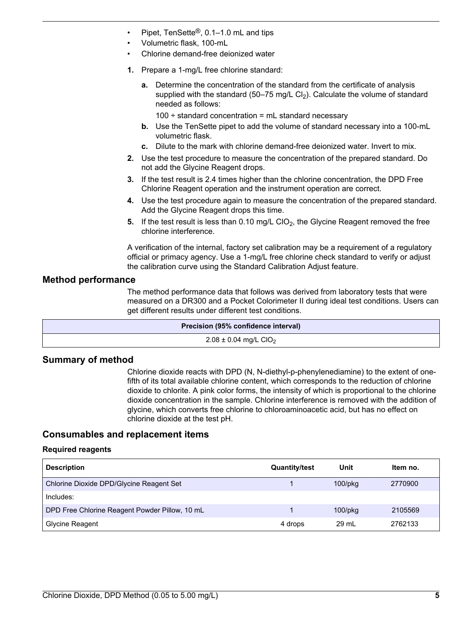- <span id="page-4-0"></span>• Pipet, TenSette®, 0.1–1.0 mL and tips
- Volumetric flask, 100-mL
- Chlorine demand-free deionized water
- **1.** Prepare a 1-mg/L free chlorine standard:
	- **a.** Determine the concentration of the standard from the certificate of analysis supplied with the standard (50–75 mg/L Cl<sub>2</sub>). Calculate the volume of standard needed as follows:
		- $100 \div$  standard concentration = mL standard necessary
	- **b.** Use the TenSette pipet to add the volume of standard necessary into a 100-mL volumetric flask.
	- **c.** Dilute to the mark with chlorine demand-free deionized water. Invert to mix.
- **2.** Use the test procedure to measure the concentration of the prepared standard. Do not add the Glycine Reagent drops.
- **3.** If the test result is 2.4 times higher than the chlorine concentration, the DPD Free Chlorine Reagent operation and the instrument operation are correct.
- **4.** Use the test procedure again to measure the concentration of the prepared standard. Add the Glycine Reagent drops this time.
- **5.** If the test result is less than  $0.10$  mg/L ClO<sub>2</sub>, the Glycine Reagent removed the free chlorine interference.

A verification of the internal, factory set calibration may be a requirement of a regulatory official or primacy agency. Use a 1-mg/L free chlorine check standard to verify or adjust the calibration curve using the Standard Calibration Adjust feature.

## **Method performance**

The method performance data that follows was derived from laboratory tests that were measured on a DR300 and a Pocket Colorimeter II during ideal test conditions. Users can get different results under different test conditions.

| <b>Precision (95% confidence interval)</b> |  |
|--------------------------------------------|--|
| $2.08 \pm 0.04$ mg/L CIO <sub>2</sub>      |  |

# **Summary of method**

Chlorine dioxide reacts with DPD (N, N-diethyl-p-phenylenediamine) to the extent of onefifth of its total available chlorine content, which corresponds to the reduction of chlorine dioxide to chlorite. A pink color forms, the intensity of which is proportional to the chlorine dioxide concentration in the sample. Chlorine interference is removed with the addition of glycine, which converts free chlorine to chloroaminoacetic acid, but has no effect on chlorine dioxide at the test pH.

# **Consumables and replacement items**

### **Required reagents**

| <b>Description</b>                             | <b>Quantity/test</b> | Unit          | Item no. |
|------------------------------------------------|----------------------|---------------|----------|
| Chlorine Dioxide DPD/Glycine Reagent Set       |                      | $100$ /p $kg$ | 2770900  |
| Includes:                                      |                      |               |          |
| DPD Free Chlorine Reagent Powder Pillow, 10 mL |                      | $100$ /p $kg$ | 2105569  |
| Glycine Reagent                                | 4 drops              | 29 mL         | 2762133  |